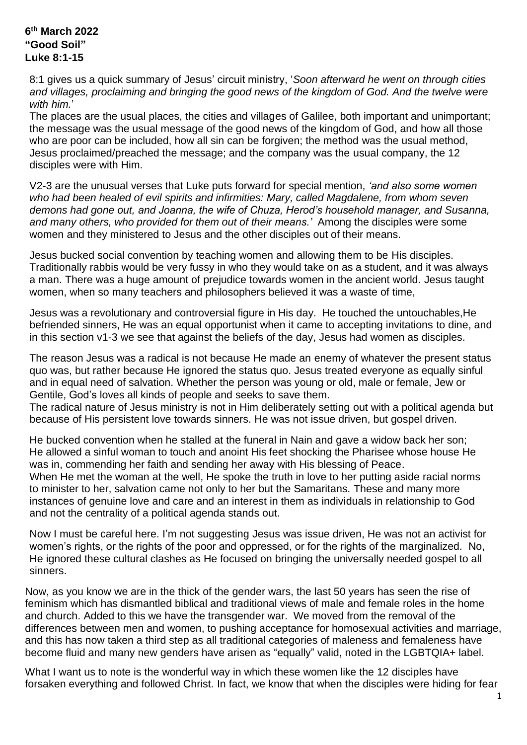## **6 th March 2022 "Good Soil" Luke 8:1-15**

8:1 gives us a quick summary of Jesus' circuit ministry, '*Soon afterward he went on through cities and villages, proclaiming and bringing the good news of the kingdom of God. And the twelve were with him.*'

The places are the usual places, the cities and villages of Galilee, both important and unimportant; the message was the usual message of the good news of the kingdom of God, and how all those who are poor can be included, how all sin can be forgiven; the method was the usual method, Jesus proclaimed/preached the message; and the company was the usual company, the 12 disciples were with Him.

V2-3 are the unusual verses that Luke puts forward for special mention, *'and also some women who had been healed of evil spirits and infirmities: Mary, called Magdalene, from whom seven demons had gone out, and Joanna, the wife of Chuza, Herod's household manager, and Susanna, and many others, who provided for them out of their means.'* Among the disciples were some women and they ministered to Jesus and the other disciples out of their means.

Jesus bucked social convention by teaching women and allowing them to be His disciples. Traditionally rabbis would be very fussy in who they would take on as a student, and it was always a man. There was a huge amount of prejudice towards women in the ancient world. Jesus taught women, when so many teachers and philosophers believed it was a waste of time,

Jesus was a revolutionary and controversial figure in His day. He touched the untouchables,He befriended sinners, He was an equal opportunist when it came to accepting invitations to dine, and in this section v1-3 we see that against the beliefs of the day, Jesus had women as disciples.

The reason Jesus was a radical is not because He made an enemy of whatever the present status quo was, but rather because He ignored the status quo. Jesus treated everyone as equally sinful and in equal need of salvation. Whether the person was young or old, male or female, Jew or Gentile, God's loves all kinds of people and seeks to save them.

The radical nature of Jesus ministry is not in Him deliberately setting out with a political agenda but because of His persistent love towards sinners. He was not issue driven, but gospel driven.

He bucked convention when he stalled at the funeral in Nain and gave a widow back her son; He allowed a sinful woman to touch and anoint His feet shocking the Pharisee whose house He was in, commending her faith and sending her away with His blessing of Peace. When He met the woman at the well, He spoke the truth in love to her putting aside racial norms

to minister to her, salvation came not only to her but the Samaritans. These and many more instances of genuine love and care and an interest in them as individuals in relationship to God and not the centrality of a political agenda stands out.

Now I must be careful here. I'm not suggesting Jesus was issue driven, He was not an activist for women's rights, or the rights of the poor and oppressed, or for the rights of the marginalized. No, He ignored these cultural clashes as He focused on bringing the universally needed gospel to all sinners.

Now, as you know we are in the thick of the gender wars, the last 50 years has seen the rise of feminism which has dismantled biblical and traditional views of male and female roles in the home and church. Added to this we have the transgender war. We moved from the removal of the differences between men and women, to pushing acceptance for homosexual activities and marriage, and this has now taken a third step as all traditional categories of maleness and femaleness have become fluid and many new genders have arisen as "equally" valid, noted in the LGBTQIA+ label.

What I want us to note is the wonderful way in which these women like the 12 disciples have forsaken everything and followed Christ. In fact, we know that when the disciples were hiding for fear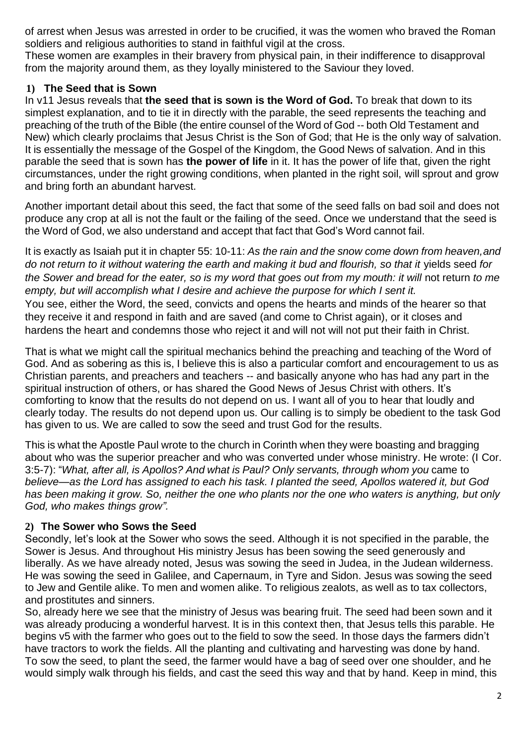of arrest when Jesus was arrested in order to be crucified, it was the women who braved the Roman soldiers and religious authorities to stand in faithful vigil at the cross.

These women are examples in their bravery from physical pain, in their indifference to disapproval from the majority around them, as they loyally ministered to the Saviour they loved.

## **1) The Seed that is Sown**

In v11 Jesus reveals that **the seed that is sown is the Word of God.** To break that down to its simplest explanation, and to tie it in directly with the parable, the seed represents the teaching and preaching of the truth of the Bible (the entire counsel of the Word of God -- both Old Testament and New) which clearly proclaims that Jesus Christ is the Son of God; that He is the only way of salvation. It is essentially the message of the Gospel of the Kingdom, the Good News of salvation. And in this parable the seed that is sown has **the power of life** in it. It has the power of life that, given the right circumstances, under the right growing conditions, when planted in the right soil, will sprout and grow and bring forth an abundant harvest.

Another important detail about this seed, the fact that some of the seed falls on bad soil and does not produce any crop at all is not the fault or the failing of the seed. Once we understand that the seed is the Word of God, we also understand and accept that fact that God's Word cannot fail.

It is exactly as Isaiah put it in chapter 55: 10-11: *As the rain and the snow come down from heaven,and do not return to it without watering the earth and making it bud and flourish, so that it* yields seed *for the Sower and bread for the eater, so is my word that goes out from my mouth: it will not return to me empty, but will accomplish what I desire and achieve the purpose for which I sent it.* You see, either the Word, the seed, convicts and opens the hearts and minds of the hearer so that they receive it and respond in faith and are saved (and come to Christ again), or it closes and hardens the heart and condemns those who reject it and will not will not put their faith in Christ.

That is what we might call the spiritual mechanics behind the preaching and teaching of the Word of God. And as sobering as this is, I believe this is also a particular comfort and encouragement to us as Christian parents, and preachers and teachers -- and basically anyone who has had any part in the spiritual instruction of others, or has shared the Good News of Jesus Christ with others. It's comforting to know that the results do not depend on us. I want all of you to hear that loudly and clearly today. The results do not depend upon us. Our calling is to simply be obedient to the task God has given to us. We are called to sow the seed and trust God for the results.

This is what the Apostle Paul wrote to the church in Corinth when they were boasting and bragging about who was the superior preacher and who was converted under whose ministry. He wrote: (I Cor. 3:5-7): "*What, after all, is Apollos? And what is Paul? Only servants, through whom you* came to *believe—as the Lord has assigned to each his task. I planted the seed, Apollos watered it, but God has been making it grow. So, neither the one who plants nor the one who waters is anything, but only God, who makes things grow".*

## **2) The Sower who Sows the Seed**

Secondly, let's look at the Sower who sows the seed. Although it is not specified in the parable, the Sower is Jesus. And throughout His ministry Jesus has been sowing the seed generously and liberally. As we have already noted, Jesus was sowing the seed in Judea, in the Judean wilderness. He was sowing the seed in Galilee, and Capernaum, in Tyre and Sidon. Jesus was sowing the seed to Jew and Gentile alike. To men and women alike. To religious zealots, as well as to tax collectors, and prostitutes and sinners.

So, already here we see that the ministry of Jesus was bearing fruit. The seed had been sown and it was already producing a wonderful harvest. It is in this context then, that Jesus tells this parable. He begins v5 with the farmer who goes out to the field to sow the seed. In those days the farmers didn't have tractors to work the fields. All the planting and cultivating and harvesting was done by hand. To sow the seed, to plant the seed, the farmer would have a bag of seed over one shoulder, and he would simply walk through his fields, and cast the seed this way and that by hand. Keep in mind, this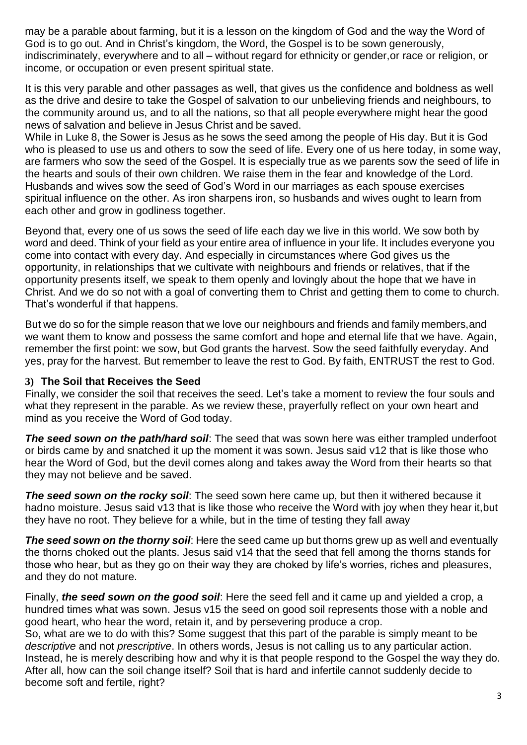may be a parable about farming, but it is a lesson on the kingdom of God and the way the Word of God is to go out. And in Christ's kingdom, the Word, the Gospel is to be sown generously, indiscriminately, everywhere and to all – without regard for ethnicity or gender,or race or religion, or income, or occupation or even present spiritual state.

It is this very parable and other passages as well, that gives us the confidence and boldness as well as the drive and desire to take the Gospel of salvation to our unbelieving friends and neighbours, to the community around us, and to all the nations, so that all people everywhere might hear the good news of salvation and believe in Jesus Christ and be saved.

While in Luke 8, the Sower is Jesus as he sows the seed among the people of His day. But it is God who is pleased to use us and others to sow the seed of life. Every one of us here today, in some way, are farmers who sow the seed of the Gospel. It is especially true as we parents sow the seed of life in the hearts and souls of their own children. We raise them in the fear and knowledge of the Lord. Husbands and wives sow the seed of God's Word in our marriages as each spouse exercises spiritual influence on the other. As iron sharpens iron, so husbands and wives ought to learn from each other and grow in godliness together.

Beyond that, every one of us sows the seed of life each day we live in this world. We sow both by word and deed. Think of your field as your entire area of influence in your life. It includes everyone you come into contact with every day. And especially in circumstances where God gives us the opportunity, in relationships that we cultivate with neighbours and friends or relatives, that if the opportunity presents itself, we speak to them openly and lovingly about the hope that we have in Christ. And we do so not with a goal of converting them to Christ and getting them to come to church. That's wonderful if that happens.

But we do so for the simple reason that we love our neighbours and friends and family members,and we want them to know and possess the same comfort and hope and eternal life that we have. Again, remember the first point: we sow, but God grants the harvest. Sow the seed faithfully everyday. And yes, pray for the harvest. But remember to leave the rest to God. By faith, ENTRUST the rest to God.

## **3) The Soil that Receives the Seed**

Finally, we consider the soil that receives the seed. Let's take a moment to review the four souls and what they represent in the parable. As we review these, prayerfully reflect on your own heart and mind as you receive the Word of God today.

*The seed sown on the path/hard soil*: The seed that was sown here was either trampled underfoot or birds came by and snatched it up the moment it was sown. Jesus said v12 that is like those who hear the Word of God, but the devil comes along and takes away the Word from their hearts so that they may not believe and be saved.

**The seed sown on the rocky soil**: The seed sown here came up, but then it withered because it hadno moisture. Jesus said v13 that is like those who receive the Word with joy when they hear it,but they have no root. They believe for a while, but in the time of testing they fall away

*The seed sown on the thorny soil*: Here the seed came up but thorns grew up as well and eventually the thorns choked out the plants. Jesus said v14 that the seed that fell among the thorns stands for those who hear, but as they go on their way they are choked by life's worries, riches and pleasures, and they do not mature.

Finally, *the seed sown on the good soil*: Here the seed fell and it came up and yielded a crop, a hundred times what was sown. Jesus v15 the seed on good soil represents those with a noble and good heart, who hear the word, retain it, and by persevering produce a crop.

So, what are we to do with this? Some suggest that this part of the parable is simply meant to be *descriptive* and not *prescriptive*. In others words, Jesus is not calling us to any particular action. Instead, he is merely describing how and why it is that people respond to the Gospel the way they do. After all, how can the soil change itself? Soil that is hard and infertile cannot suddenly decide to become soft and fertile, right?